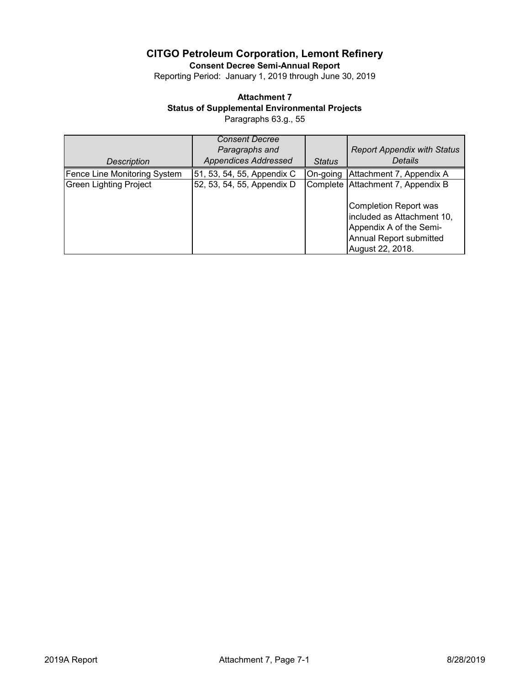**Consent Decree Semi-Annual Report**

Reporting Period: January 1, 2019 through June 30, 2019

## **Attachment 7**

**Status of Supplemental Environmental Projects**

Paragraphs 63.g., 55

|                               | <b>Consent Decree</b><br>Paragraphs and |               | <b>Report Appendix with Status</b>                                                                                                                                 |
|-------------------------------|-----------------------------------------|---------------|--------------------------------------------------------------------------------------------------------------------------------------------------------------------|
| Description                   | <b>Appendices Addressed</b>             | <b>Status</b> | <b>Details</b>                                                                                                                                                     |
| Fence Line Monitoring System  | 51, 53, 54, 55, Appendix C              | On-going      | Attachment 7, Appendix A                                                                                                                                           |
| <b>Green Lighting Project</b> | 52, 53, 54, 55, Appendix D              |               | Complete Attachment 7, Appendix B<br>Completion Report was<br>included as Attachment 10,<br>Appendix A of the Semi-<br>Annual Report submitted<br>August 22, 2018. |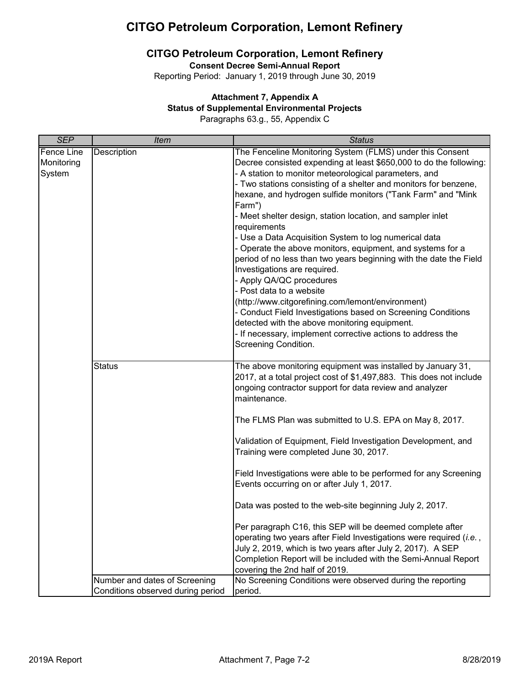### **CITGO Petroleum Corporation, Lemont Refinery**

**Consent Decree Semi-Annual Report**

Reporting Period: January 1, 2019 through June 30, 2019

### **Attachment 7, Appendix A**

#### **Status of Supplemental Environmental Projects**

Paragraphs 63.g., 55, Appendix C

| <b>SEP</b>        | <b>Item</b>                       | <b>Status</b>                                                                                                                                                                                                 |
|-------------------|-----------------------------------|---------------------------------------------------------------------------------------------------------------------------------------------------------------------------------------------------------------|
| <b>Fence Line</b> | <b>Description</b>                | The Fenceline Monitoring System (FLMS) under this Consent                                                                                                                                                     |
| Monitoring        |                                   | Decree consisted expending at least \$650,000 to do the following:                                                                                                                                            |
| System            |                                   | - A station to monitor meteorological parameters, and                                                                                                                                                         |
|                   |                                   | - Two stations consisting of a shelter and monitors for benzene,                                                                                                                                              |
|                   |                                   | hexane, and hydrogen sulfide monitors ("Tank Farm" and "Mink                                                                                                                                                  |
|                   |                                   | Farm")                                                                                                                                                                                                        |
|                   |                                   | - Meet shelter design, station location, and sampler inlet<br>requirements                                                                                                                                    |
|                   |                                   | - Use a Data Acquisition System to log numerical data                                                                                                                                                         |
|                   |                                   | - Operate the above monitors, equipment, and systems for a                                                                                                                                                    |
|                   |                                   | period of no less than two years beginning with the date the Field                                                                                                                                            |
|                   |                                   | Investigations are required.                                                                                                                                                                                  |
|                   |                                   | - Apply QA/QC procedures                                                                                                                                                                                      |
|                   |                                   | - Post data to a website                                                                                                                                                                                      |
|                   |                                   | (http://www.citgorefining.com/lemont/environment)                                                                                                                                                             |
|                   |                                   | - Conduct Field Investigations based on Screening Conditions                                                                                                                                                  |
|                   |                                   | detected with the above monitoring equipment.                                                                                                                                                                 |
|                   |                                   | - If necessary, implement corrective actions to address the                                                                                                                                                   |
|                   |                                   | Screening Condition.                                                                                                                                                                                          |
|                   |                                   |                                                                                                                                                                                                               |
|                   | <b>Status</b>                     | The above monitoring equipment was installed by January 31,<br>2017, at a total project cost of \$1,497,883. This does not include<br>ongoing contractor support for data review and analyzer<br>maintenance. |
|                   |                                   | The FLMS Plan was submitted to U.S. EPA on May 8, 2017.                                                                                                                                                       |
|                   |                                   | Validation of Equipment, Field Investigation Development, and<br>Training were completed June 30, 2017.                                                                                                       |
|                   |                                   | Field Investigations were able to be performed for any Screening<br>Events occurring on or after July 1, 2017.                                                                                                |
|                   |                                   | Data was posted to the web-site beginning July 2, 2017.                                                                                                                                                       |
|                   |                                   | Per paragraph C16, this SEP will be deemed complete after                                                                                                                                                     |
|                   |                                   | operating two years after Field Investigations were required ( <i>i.e.</i> ,                                                                                                                                  |
|                   |                                   | July 2, 2019, which is two years after July 2, 2017). A SEP                                                                                                                                                   |
|                   |                                   | Completion Report will be included with the Semi-Annual Report                                                                                                                                                |
|                   |                                   | covering the 2nd half of 2019.                                                                                                                                                                                |
|                   | Number and dates of Screening     | No Screening Conditions were observed during the reporting                                                                                                                                                    |
|                   | Conditions observed during period | period.                                                                                                                                                                                                       |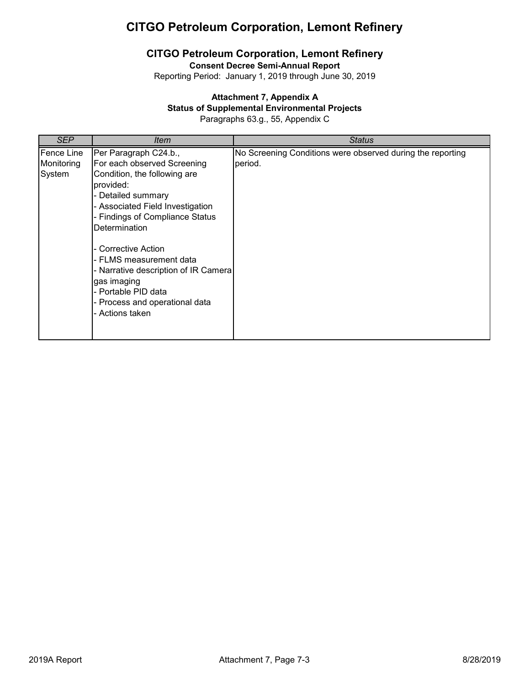## **CITGO Petroleum Corporation, Lemont Refinery**

**Consent Decree Semi-Annual Report**

Reporting Period: January 1, 2019 through June 30, 2019

### **Attachment 7, Appendix A**

#### **Status of Supplemental Environmental Projects**

Paragraphs 63.g., 55, Appendix C

| SEP                                | ltem                                                                                                                                                                                                                                                                                                                                                                                                        | Status                                                                |
|------------------------------------|-------------------------------------------------------------------------------------------------------------------------------------------------------------------------------------------------------------------------------------------------------------------------------------------------------------------------------------------------------------------------------------------------------------|-----------------------------------------------------------------------|
| Fence Line<br>Monitoring<br>System | Per Paragraph C24.b.,<br>For each observed Screening<br>Condition, the following are<br>provided:<br>- Detailed summary<br>- Associated Field Investigation<br>- Findings of Compliance Status<br><b>Determination</b><br>- Corrective Action<br>- FLMS measurement data<br>- Narrative description of IR Camera<br>gas imaging<br>- Portable PID data<br>- Process and operational data<br>- Actions taken | No Screening Conditions were observed during the reporting<br>period. |